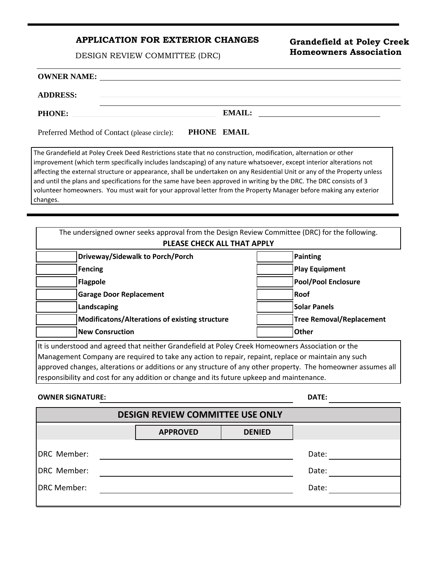# **APPLICATION FOR EXTERIOR CHANGES**

DESIGN REVIEW COMMITTEE (DRC)

# **Grandefield at Poley Creek Homeowners Association**

#### **OWNER NAME:**

#### **ADDRESS:**

**PHONE: EMAIL:**

Preferred Method of Contact (please circle): **PHONE EMAIL**

The Grandefield at Poley Creek Deed Restrictions state that no construction, modification, alternation or other improvement (which term specifically includes landscaping) of any nature whatsoever, except interior alterations not affecting the external structure or appearance, shall be undertaken on any Residential Unit or any of the Property unless and until the plans and specifications for the same have been approved in writing by the DRC. The DRC consists of 3 volunteer homeowners. You must wait for your approval letter from the Property Manager before making any exterior changes.

| The undersigned owner seeks approval from the Design Review Committee (DRC) for the following.    |                                 |  |  |
|---------------------------------------------------------------------------------------------------|---------------------------------|--|--|
| PLEASE CHECK ALL THAT APPLY                                                                       |                                 |  |  |
| Driveway/Sidewalk to Porch/Porch                                                                  | <b>Painting</b>                 |  |  |
| <b>Fencing</b>                                                                                    | <b>Play Equipment</b>           |  |  |
| <b>Flagpole</b>                                                                                   | <b>Pool/Pool Enclosure</b>      |  |  |
| <b>Garage Door Replacement</b>                                                                    | <b>Roof</b>                     |  |  |
| Landscaping                                                                                       | <b>Solar Panels</b>             |  |  |
| Modificatons/Alterations of existing structure                                                    | <b>Tree Removal/Replacement</b> |  |  |
| <b>New Consruction</b>                                                                            | <b>Other</b>                    |  |  |
| It is understood and agreed that neither Grandefield at Poley Creek Homeowners Association or the |                                 |  |  |

Management Company are required to take any action to repair, repaint, replace or maintain any such approved changes, alterations or additions or any structure of any other property. The homeowner assumes all responsibility and cost for any addition or change and its future upkeep and maintenance.

#### **OWNER SIGNATURE: DATE:**

| ۰. |  |  |
|----|--|--|

| <b>DESIGN REVIEW COMMITTEE USE ONLY</b> |                 |               |       |  |
|-----------------------------------------|-----------------|---------------|-------|--|
|                                         | <b>APPROVED</b> | <b>DENIED</b> |       |  |
| DRC Member:                             |                 |               | Date: |  |
| DRC Member:                             |                 |               | Date: |  |
| DRC Member:                             |                 |               | Date: |  |
|                                         |                 |               |       |  |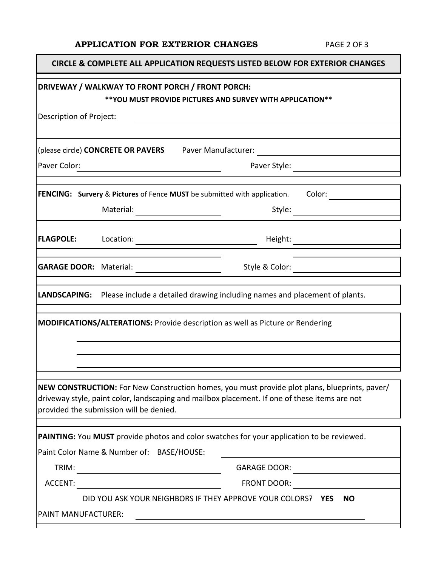# **APPLICATION FOR EXTERIOR CHANGES** PAGE 2 OF 3

Г

|                                                                                                                 | CIRCLE & COMPLETE ALL APPLICATION REQUESTS LISTED BELOW FOR EXTERIOR CHANGES                                                                                                                                                                                                                                                                                       |                     |                                     |  |
|-----------------------------------------------------------------------------------------------------------------|--------------------------------------------------------------------------------------------------------------------------------------------------------------------------------------------------------------------------------------------------------------------------------------------------------------------------------------------------------------------|---------------------|-------------------------------------|--|
| DRIVEWAY / WALKWAY TO FRONT PORCH / FRONT PORCH:<br>** YOU MUST PROVIDE PICTURES AND SURVEY WITH APPLICATION ** |                                                                                                                                                                                                                                                                                                                                                                    |                     |                                     |  |
| Description of Project:                                                                                         |                                                                                                                                                                                                                                                                                                                                                                    |                     |                                     |  |
|                                                                                                                 | (please circle) CONCRETE OR PAVERS Paver Manufacturer: _________________________                                                                                                                                                                                                                                                                                   |                     |                                     |  |
| Paver Color:                                                                                                    | <u> 1980 - Johann Barn, mars an t-Amerikaansk kommunister (</u>                                                                                                                                                                                                                                                                                                    |                     |                                     |  |
|                                                                                                                 | <b>FENCING:</b> Survery & Pictures of Fence MUST be submitted with application. Color:                                                                                                                                                                                                                                                                             |                     |                                     |  |
|                                                                                                                 |                                                                                                                                                                                                                                                                                                                                                                    |                     |                                     |  |
| <b>FLAGPOLE:</b>                                                                                                | $\begin{picture}(150,10) \put(0,0){\vector(1,0){100}} \put(15,0){\vector(1,0){100}} \put(15,0){\vector(1,0){100}} \put(15,0){\vector(1,0){100}} \put(15,0){\vector(1,0){100}} \put(15,0){\vector(1,0){100}} \put(15,0){\vector(1,0){100}} \put(15,0){\vector(1,0){100}} \put(15,0){\vector(1,0){100}} \put(15,0){\vector(1,0){100}} \put(15,0){\vector(1,0){100}}$ |                     |                                     |  |
|                                                                                                                 |                                                                                                                                                                                                                                                                                                                                                                    |                     | Style & Color: ____________________ |  |
|                                                                                                                 | LANDSCAPING: Please include a detailed drawing including names and placement of plants.                                                                                                                                                                                                                                                                            |                     |                                     |  |
| <b>MODIFICATIONS/ALTERATIONS: Provide description as well as Picture or Rendering</b>                           |                                                                                                                                                                                                                                                                                                                                                                    |                     |                                     |  |
|                                                                                                                 |                                                                                                                                                                                                                                                                                                                                                                    |                     |                                     |  |
|                                                                                                                 | NEW CONSTRUCTION: For New Construction homes, you must provide plot plans, blueprints, paver/<br>driveway style, paint color, landscaping and mailbox placement. If one of these items are not<br>provided the submission will be denied.                                                                                                                          |                     |                                     |  |
|                                                                                                                 | PAINTING: You MUST provide photos and color swatches for your application to be reviewed.                                                                                                                                                                                                                                                                          |                     |                                     |  |
|                                                                                                                 | Paint Color Name & Number of: BASE/HOUSE:                                                                                                                                                                                                                                                                                                                          |                     |                                     |  |
| TRIM:                                                                                                           |                                                                                                                                                                                                                                                                                                                                                                    | <b>GARAGE DOOR:</b> |                                     |  |
|                                                                                                                 |                                                                                                                                                                                                                                                                                                                                                                    | FRONT DOOR:         |                                     |  |
|                                                                                                                 | DID YOU ASK YOUR NEIGHBORS IF THEY APPROVE YOUR COLORS? YES                                                                                                                                                                                                                                                                                                        |                     | <b>NO</b>                           |  |
| PAINT MANUFACTURER:                                                                                             |                                                                                                                                                                                                                                                                                                                                                                    |                     |                                     |  |